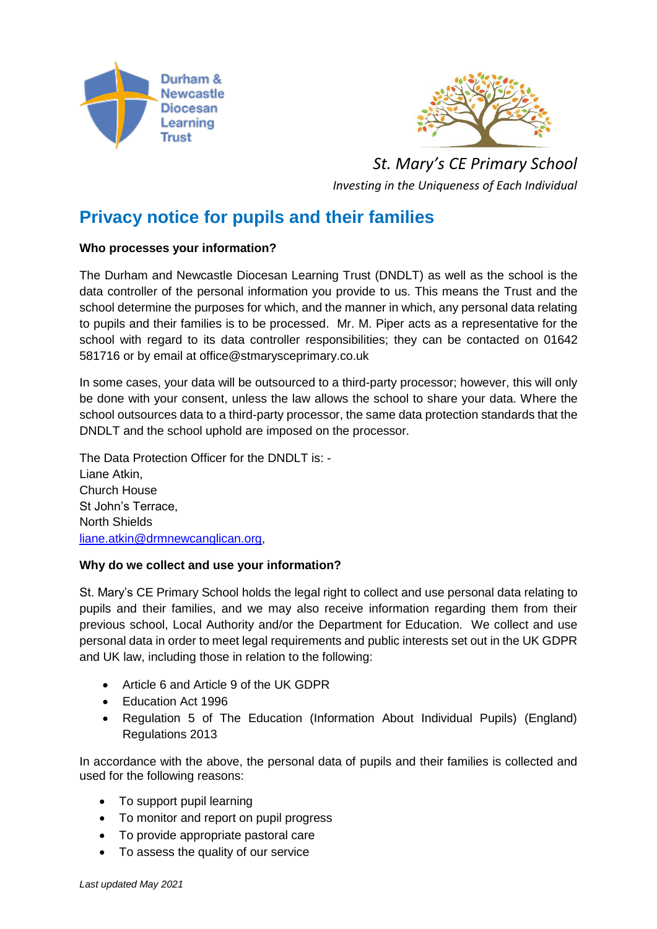



*St. Mary's CE Primary School Investing in the Uniqueness of Each Individual*

# **Privacy notice for pupils and their families**

# **Who processes your information?**

The Durham and Newcastle Diocesan Learning Trust (DNDLT) as well as the school is the data controller of the personal information you provide to us. This means the Trust and the school determine the purposes for which, and the manner in which, any personal data relating to pupils and their families is to be processed. Mr. M. Piper acts as a representative for the school with regard to its data controller responsibilities; they can be contacted on 01642 581716 or by email at office@stmarysceprimary.co.uk

In some cases, your data will be outsourced to a third-party processor; however, this will only be done with your consent, unless the law allows the school to share your data. Where the school outsources data to a third-party processor, the same data protection standards that the DNDLT and the school uphold are imposed on the processor.

The Data Protection Officer for the DNDLT is: - Liane Atkin, Church House St John's Terrace, North Shields [liane.atkin@drmnewcanglican.org,](mailto:liane.atkin@drmnewcanglican.org)

## **Why do we collect and use your information?**

St. Mary's CE Primary School holds the legal right to collect and use personal data relating to pupils and their families, and we may also receive information regarding them from their previous school, Local Authority and/or the Department for Education. We collect and use personal data in order to meet legal requirements and public interests set out in the UK GDPR and UK law, including those in relation to the following:

- Article 6 and Article 9 of the UK GDPR
- Education Act 1996
- Regulation 5 of The Education (Information About Individual Pupils) (England) Regulations 2013

In accordance with the above, the personal data of pupils and their families is collected and used for the following reasons:

- To support pupil learning
- To monitor and report on pupil progress
- To provide appropriate pastoral care
- To assess the quality of our service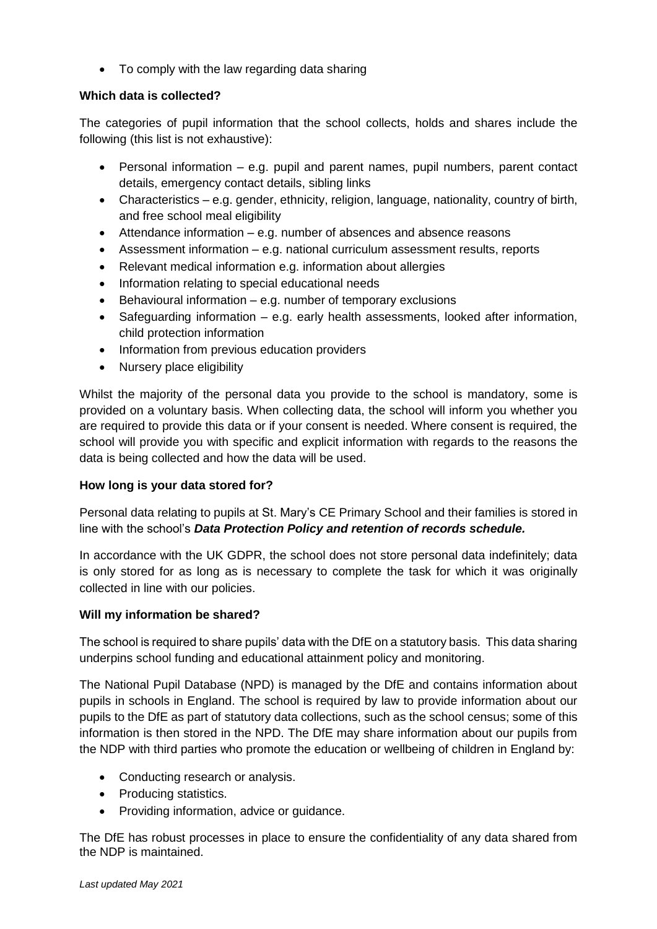• To comply with the law regarding data sharing

# **Which data is collected?**

The categories of pupil information that the school collects, holds and shares include the following (this list is not exhaustive):

- Personal information e.g. pupil and parent names, pupil numbers, parent contact details, emergency contact details, sibling links
- Characteristics e.g. gender, ethnicity, religion, language, nationality, country of birth, and free school meal eligibility
- Attendance information e.g. number of absences and absence reasons
- Assessment information e.g. national curriculum assessment results, reports
- Relevant medical information e.g. information about allergies
- Information relating to special educational needs
- Behavioural information  $-$  e.g. number of temporary exclusions
- Safeguarding information e.g. early health assessments, looked after information, child protection information
- Information from previous education providers
- Nursery place eligibility

Whilst the majority of the personal data you provide to the school is mandatory, some is provided on a voluntary basis. When collecting data, the school will inform you whether you are required to provide this data or if your consent is needed. Where consent is required, the school will provide you with specific and explicit information with regards to the reasons the data is being collected and how the data will be used.

## **How long is your data stored for?**

Personal data relating to pupils at St. Mary's CE Primary School and their families is stored in line with the school's *Data Protection Policy and retention of records schedule.*

In accordance with the UK GDPR, the school does not store personal data indefinitely; data is only stored for as long as is necessary to complete the task for which it was originally collected in line with our policies.

## **Will my information be shared?**

The school is required to share pupils' data with the DfE on a statutory basis. This data sharing underpins school funding and educational attainment policy and monitoring.

The National Pupil Database (NPD) is managed by the DfE and contains information about pupils in schools in England. The school is required by law to provide information about our pupils to the DfE as part of statutory data collections, such as the school census; some of this information is then stored in the NPD. The DfE may share information about our pupils from the NDP with third parties who promote the education or wellbeing of children in England by:

- Conducting research or analysis.
- Producing statistics.
- Providing information, advice or guidance.

The DfE has robust processes in place to ensure the confidentiality of any data shared from the NDP is maintained.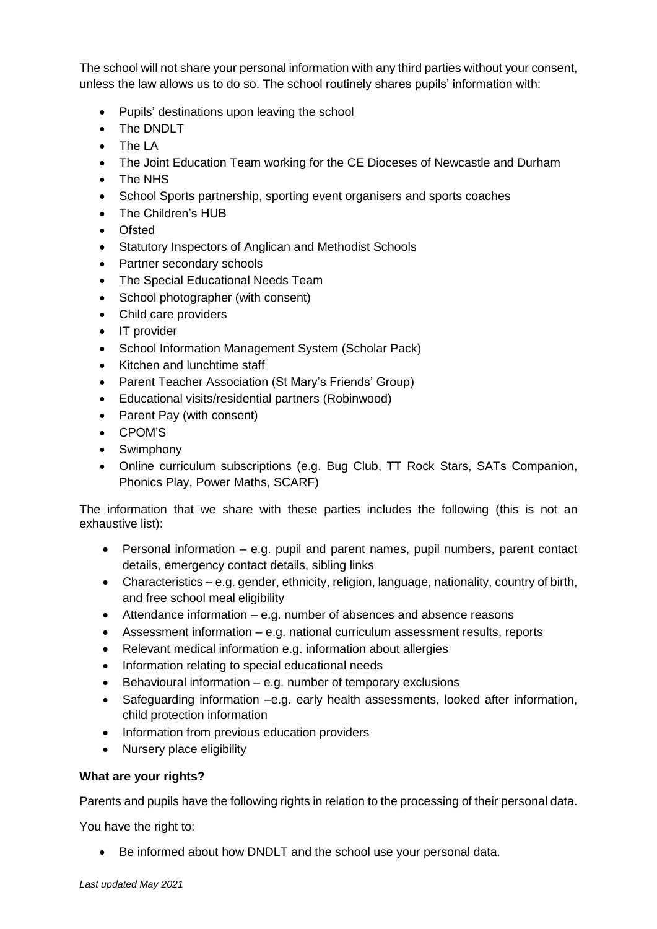The school will not share your personal information with any third parties without your consent, unless the law allows us to do so. The school routinely shares pupils' information with:

- Pupils' destinations upon leaving the school
- The DNDLT
- The LA
- The Joint Education Team working for the CE Dioceses of Newcastle and Durham
- The NHS
- School Sports partnership, sporting event organisers and sports coaches
- The Children's HUB
- Ofsted
- Statutory Inspectors of Anglican and Methodist Schools
- Partner secondary schools
- The Special Educational Needs Team
- School photographer (with consent)
- Child care providers
- IT provider
- School Information Management System (Scholar Pack)
- Kitchen and lunchtime staff
- Parent Teacher Association (St Mary's Friends' Group)
- Educational visits/residential partners (Robinwood)
- Parent Pay (with consent)
- CPOM'S
- Swimphony
- Online curriculum subscriptions (e.g. Bug Club, TT Rock Stars, SATs Companion, Phonics Play, Power Maths, SCARF)

The information that we share with these parties includes the following (this is not an exhaustive list):

- Personal information e.g. pupil and parent names, pupil numbers, parent contact details, emergency contact details, sibling links
- Characteristics e.g. gender, ethnicity, religion, language, nationality, country of birth, and free school meal eligibility
- Attendance information e.g. number of absences and absence reasons
- Assessment information e.g. national curriculum assessment results, reports
- Relevant medical information e.g. information about allergies
- Information relating to special educational needs
- Behavioural information e.g. number of temporary exclusions
- Safeguarding information –e.g. early health assessments, looked after information, child protection information
- Information from previous education providers
- Nursery place eligibility

## **What are your rights?**

Parents and pupils have the following rights in relation to the processing of their personal data.

You have the right to:

• Be informed about how DNDLT and the school use your personal data.